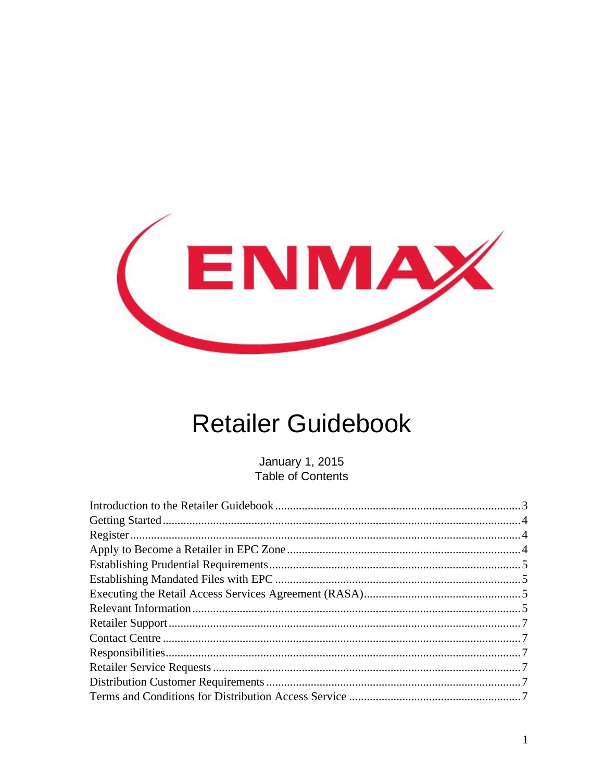

# **Retailer Guidebook**

**January 1, 2015** Table of Contents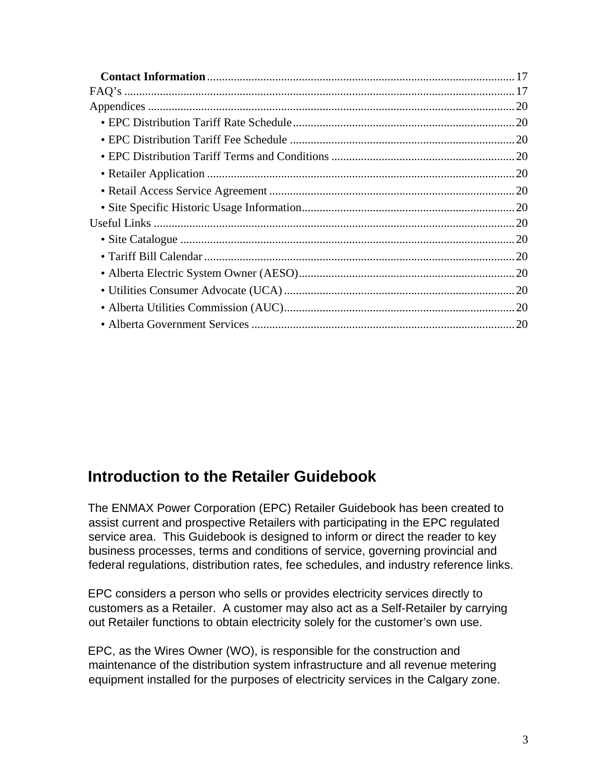# <span id="page-2-0"></span>**Introduction to the Retailer Guidebook**

The ENMAX Power Corporation (EPC) Retailer Guidebook has been created to assist current and prospective Retailers with participating in the EPC regulated service area. This Guidebook is designed to inform or direct the reader to key business processes, terms and conditions of service, governing provincial and federal regulations, distribution rates, fee schedules, and industry reference links.

EPC considers a person who sells or provides electricity services directly to customers as a Retailer. A customer may also act as a Self-Retailer by carrying out Retailer functions to obtain electricity solely for the customer's own use.

EPC, as the Wires Owner (WO), is responsible for the construction and maintenance of the distribution system infrastructure and all revenue metering equipment installed for the purposes of electricity services in the Calgary zone.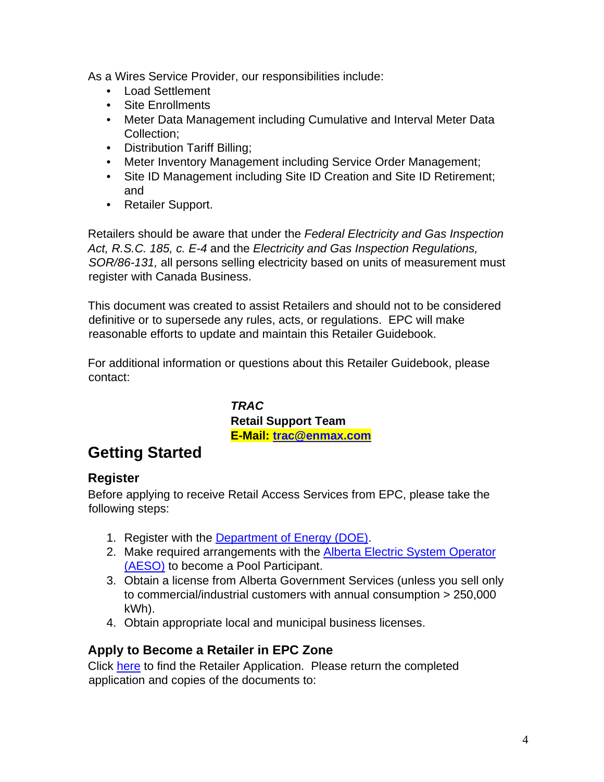As a Wires Service Provider, our responsibilities include:

- Load Settlement
- Site Enrollments
- Meter Data Management including Cumulative and Interval Meter Data Collection;
- Distribution Tariff Billing;
- Meter Inventory Management including Service Order Management;
- Site ID Management including Site ID Creation and Site ID Retirement; and
- Retailer Support.

Retailers should be aware that under the *Federal Electricity and Gas Inspection Act, R.S.C. 185, c. E-4* and the *Electricity and Gas Inspection Regulations, SOR/86-131,* all persons selling electricity based on units of measurement must register with Canada Business.

This document was created to assist Retailers and should not to be considered definitive or to supersede any rules, acts, or regulations. EPC will make reasonable efforts to update and maintain this Retailer Guidebook.

For additional information or questions about this Retailer Guidebook, please contact:

> *TRAC*  **Retail Support Team E-Mail: trac@enmax.com**

# <span id="page-3-0"></span>**Getting Started**

#### <span id="page-3-1"></span>**Register**

Before applying to receive Retail Access Services from EPC, please take the following steps:

- 1. Register with the [Department of Energy \(DOE\).](http://www.energy.alberta.ca/index.asp)
- 2. Make required arrangements with the [Alberta Electric System Operator](http://www.aeso.ca/) [\(AESO\)](http://www.aeso.ca/) to become a Pool Participant.
- 3. Obtain a license from Alberta Government Services (unless you sell only to commercial/industrial customers with annual consumption > 250,000 kWh).
- 4. Obtain appropriate local and municipal business licenses.

### <span id="page-3-2"></span>**Apply to Become a Retailer in EPC Zone**

Click [here](https://www.enmax.com/ForYourBusinessSite/Documents/10302.pdf) to find the Retailer Application. Please return the completed application and copies of the documents to: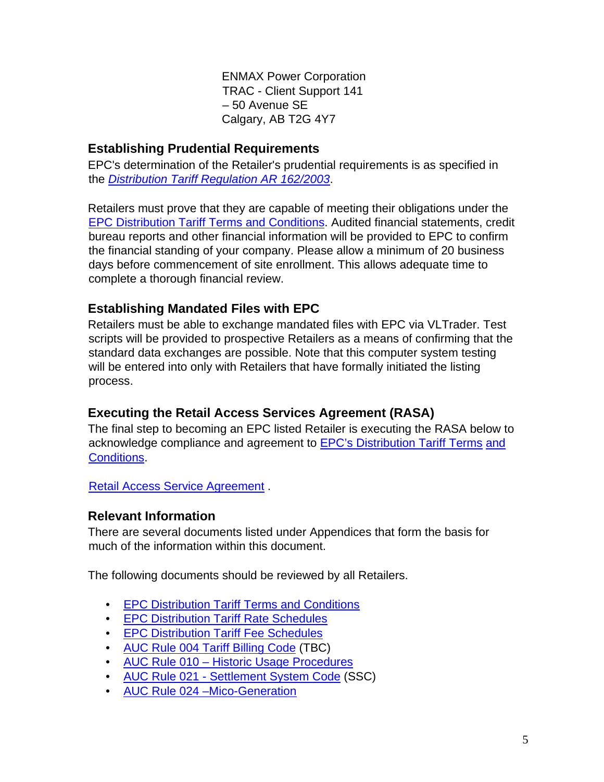ENMAX Power Corporation TRAC - Client Support 141 – 50 Avenue SE Calgary, AB T2G 4Y7

#### <span id="page-4-0"></span>**Establishing Prudential Requirements**

EPC's determination of the Retailer's prudential requirements is as specified in th[e](http://www.qp.alberta.ca/574.cfm?page=2003_159.cfm&leg_type=Regs&isbncln=9780779730902) *[Distribution Tariff Regulation AR 162/2003](http://www.qp.alberta.ca/574.cfm?page=2003_159.cfm&leg_type=Regs&isbncln=9780779730902)*[.](http://www.qp.alberta.ca/574.cfm?page=2003_159.cfm&leg_type=Regs&isbncln=9780779730902) 

Retailers must prove that they are capable of meeting their obligations under the [EPC Distribution Tariff Terms and Conditions.](https://www.enmax.com/ForYourHomeSite/Documents/DT-TandCs-Jan-1-2015.pdf) Audited financial statements, credit bureau reports and other financial information will be provided to EPC to confirm the financial standing of your company. Please allow a minimum of 20 business days before commencement of site enrollment. This allows adequate time to complete a thorough financial review.

### <span id="page-4-1"></span>**Establishing Mandated Files with EPC**

Retailers must be able to exchange mandated files with EPC via VLTrader. Test scripts will be provided to prospective Retailers as a means of confirming that the standard data exchanges are possible. Note that this computer system testing will be entered into only with Retailers that have formally initiated the listing process.

### <span id="page-4-2"></span>**Executing the Retail Access Services Agreement (RASA)**

The final step to becoming an EPC listed Retailer is executing the RASA below to acknowledge compliance [and](https://www.enmax.com/ForYourHomeSite/Documents/DT-TandCs-Jan-1-2015.pdf) agreement to **EPC's Distribution Tariff Terms and** [Conditions.](https://www.enmax.com/ForYourHomeSite/Documents/DT-TandCs-Jan-1-2015.pdf) 

[Retail Access Service Agreement](https://www.enmax.com/ForYourBusinessSite/Documents/RASAgreementsec.pdf) [.](https://www.enmax.com/ForYourBusinessSite/Documents/RASAgreementsec.pdf)

### <span id="page-4-3"></span>**Relevant Information**

There are several documents listed under Appendices that form the basis for much of the information within this document.

The following documents should be reviewed by all Retailers.

- [EPC Distribution Tariff Terms and Conditions](https://www.enmax.com/ForYourHomeSite/Documents/DT-TandCs-Jan-1-2015.pdf)
- [EPC Distribution Tariff Rate Schedules](https://www.enmax.com/ForYourBusinessSite/Documents/2015-02-01_DT_Rate_Schedule.pdf)
- [EPC Distribution Tariff Fee Schedules](https://www.enmax.com/ForYourHomeSite/Documents/Fee-Schedule-Jan-1-2015.pdf)
- [AUC Rule 004 Tariff Billing Code](http://www.auc.ab.ca/acts-regulations-and-auc-rules/rules/Pages/Rule004.aspx) [\(](http://www.auc.ab.ca/acts-regulations-and-auc-rules/rules/Pages/Rule004.aspx)TBC)
- AUC Rule 010 [Historic Usage Procedures](http://www.auc.ab.ca/acts-regulations-and-auc-rules/rules/Pages/Rule010.aspx)
- AUC Rule 021 [Settlement System Code](http://www.auc.ab.ca/acts-regulations-and-auc-rules/rules/Pages/Rule021.aspx) (SSC)
- [AUC Rule 024 –Mico-Generation](http://www.auc.ab.ca/acts-regulations-and-auc-rules/rules/Pages/Rule024.aspx)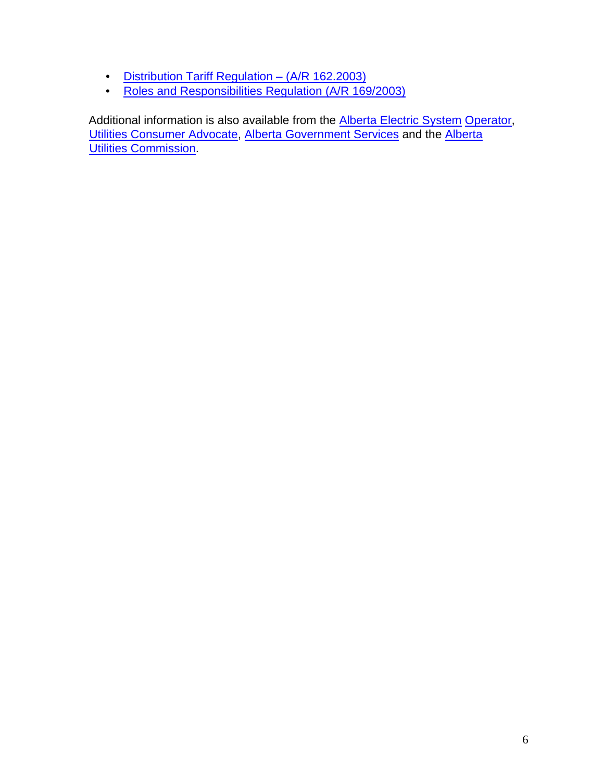- [Distribution Tariff Regulation –](http://www.qp.alberta.ca/1266.cfm?page=2003_159.cfm&leg_type=Regs&isbncln=9780779730902) (A/R 162.2003[\)](http://www.qp.alberta.ca/1266.cfm?page=2003_159.cfm&leg_type=Regs&isbncln=9780779730902)
- [Roles and Responsibilities Regulation \(A/R 169/2003\)](http://www.qp.alberta.ca/574.cfm?page=2003_162.cfm&leg_type=Regs&isbncln=9780779728817)

Additional information is also available from the **Alberta Electric System Operator**, [Utilities Consumer Advocate,](http://www.ucahelps.gov.ab.ca/4.html) [Alberta Government Services](http://www.servicealberta.gov.ab.ca/) and the [Alberta](http://www.auc.ab.ca/Pages/Default.aspx)  [Utilities Commission.](http://www.auc.ab.ca/Pages/Default.aspx)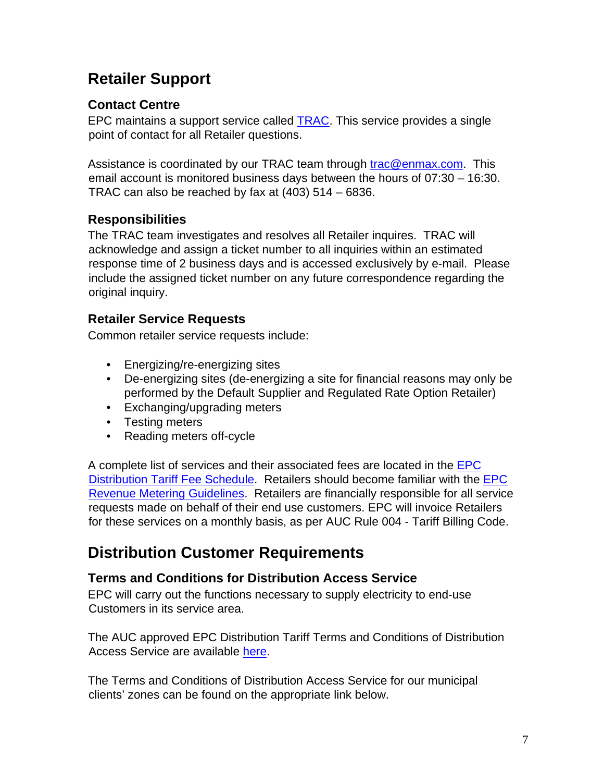# <span id="page-6-0"></span>**Retailer Support**

# <span id="page-6-1"></span>**Contact Centre**

EPC maintains a support service called TRAC. This service provides a single point of contact for all Retailer questions.

Assistance is coordinated by our TRAC team through trac@enmax.com. This email account is monitored business days between the hours of 07:30 – 16:30. TRAC can also be reached by fax at (403) 514 – 6836.

# <span id="page-6-2"></span>**Responsibilities**

The TRAC team investigates and resolves all Retailer inquires. TRAC will acknowledge and assign a ticket number to all inquiries within an estimated response time of 2 business days and is accessed exclusively by e-mail. Please include the assigned ticket number on any future correspondence regarding the original inquiry.

# <span id="page-6-3"></span>**Retailer Service Requests**

Common retailer service requests include:

- Energizing/re-energizing sites
- De-energizing sites (de-energizing a site for financial reasons may only be performed by the Default Supplier and Regulated Rate Option Retailer)
- Exchanging/upgrading meters
- Testing meters
- Reading meters off-cycle

A complete list of services and their associated fees are located in the [EPC](https://www.enmax.com/ForYourHomeSite/Documents/Fee-Schedule-Jan-1-2015.pdf) [Distribution Tariff Fee Schedule.](https://www.enmax.com/ForYourHomeSite/Documents/Fee-Schedule-Jan-1-2015.pdf) Retailers should become familiar with the [EPC](https://www.enmax.com/ForYourBusinessSite/Documents/Revenue_Metering.pdf) [Revenue Metering Guidelines.](https://www.enmax.com/ForYourBusinessSite/Documents/Revenue_Metering.pdf) Retailers are financially responsible for all service requests made on behalf of their end use customers. EPC will invoice Retailers for these services on a monthly basis, as per AUC Rule 004 - Tariff Billing Code.

# <span id="page-6-4"></span>**Distribution Customer Requirements**

# <span id="page-6-5"></span>**Terms and Conditions for Distribution Access Service**

EPC will carry out the functions necessary to supply electricity to end-use Customers in its service area.

The AUC approved EPC Distribution Tariff Terms and Conditions of Distribution Access Service are available [here.](https://www.enmax.com/ForYourHomeSite/Documents/DT-TandCs-Jan-1-2015.pdf)

The Terms and Conditions of Distribution Access Service for our municipal clients' zones can be found on the appropriate link below.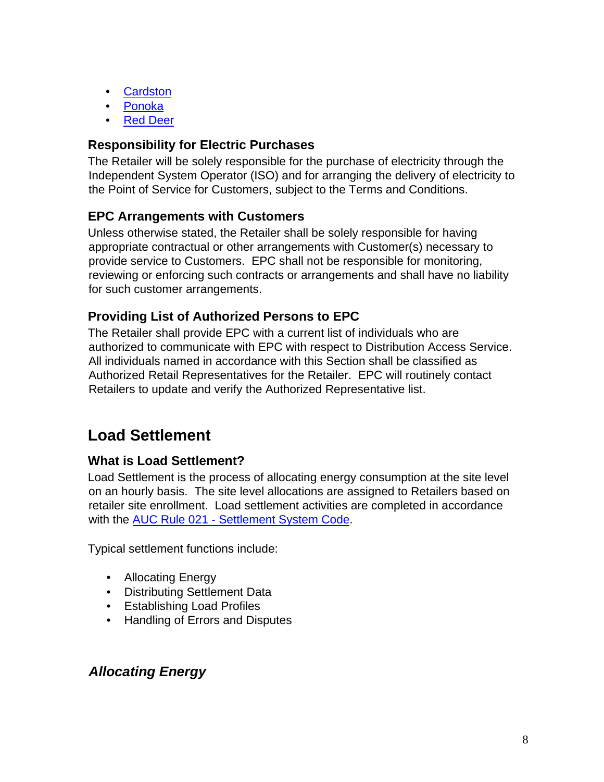- [Cardston](http://cardston.ca/)
- [Ponoka](http://www.ponoka.org/)
- [Red Deer](http://www.reddeer.ca/default.htm)

#### <span id="page-7-0"></span>**Responsibility for Electric Purchases**

The Retailer will be solely responsible for the purchase of electricity through the Independent System Operator (ISO) and for arranging the delivery of electricity to the Point of Service for Customers, subject to the Terms and Conditions.

### <span id="page-7-1"></span>**EPC Arrangements with Customers**

Unless otherwise stated, the Retailer shall be solely responsible for having appropriate contractual or other arrangements with Customer(s) necessary to provide service to Customers. EPC shall not be responsible for monitoring, reviewing or enforcing such contracts or arrangements and shall have no liability for such customer arrangements.

### <span id="page-7-2"></span>**Providing List of Authorized Persons to EPC**

The Retailer shall provide EPC with a current list of individuals who are authorized to communicate with EPC with respect to Distribution Access Service. All individuals named in accordance with this Section shall be classified as Authorized Retail Representatives for the Retailer. EPC will routinely contact Retailers to update and verify the Authorized Representative list.

# <span id="page-7-3"></span>**Load Settlement**

### <span id="page-7-4"></span>**What is Load Settlement?**

Load Settlement is the process of allocating energy consumption at the site level on an hourly basis. The site level allocations are assigned to Retailers based on retailer site enrollment. Load settlement activities are completed in accordance with the **AUC Rule 021 - Settlement System Code**.

Typical settlement functions include:

- Allocating Energy
- Distributing Settlement Data
- Establishing Load Profiles
- Handling of Errors and Disputes

### <span id="page-7-5"></span>*Allocating Energy*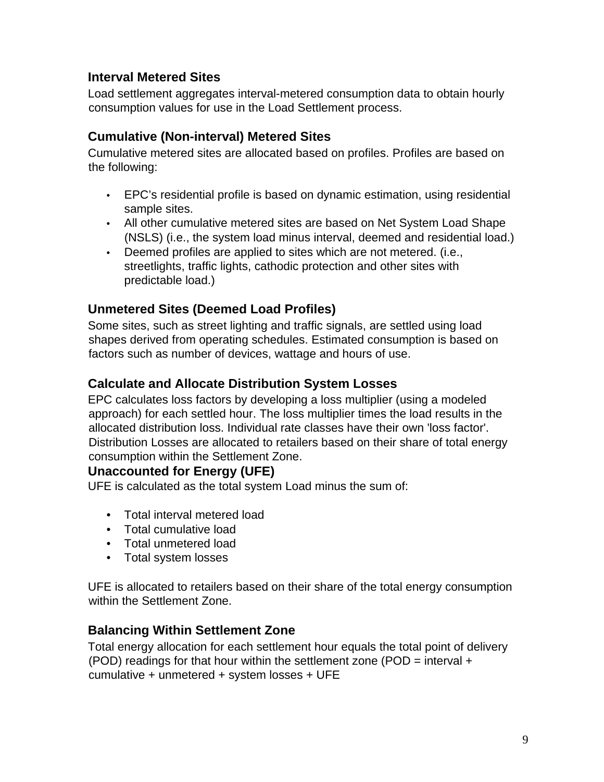### <span id="page-8-0"></span>**Interval Metered Sites**

Load settlement aggregates interval-metered consumption data to obtain hourly consumption values for use in the Load Settlement process.

#### <span id="page-8-1"></span>**Cumulative (Non-interval) Metered Sites**

Cumulative metered sites are allocated based on profiles. Profiles are based on the following:

- EPC's residential profile is based on dynamic estimation, using residential sample sites.
- All other cumulative metered sites are based on Net System Load Shape (NSLS) (i.e., the system load minus interval, deemed and residential load.)
- Deemed profiles are applied to sites which are not metered. (i.e., streetlights, traffic lights, cathodic protection and other sites with predictable load.)

### <span id="page-8-2"></span>**Unmetered Sites (Deemed Load Profiles)**

Some sites, such as street lighting and traffic signals, are settled using load shapes derived from operating schedules. Estimated consumption is based on factors such as number of devices, wattage and hours of use.

#### <span id="page-8-3"></span>**Calculate and Allocate Distribution System Losses**

EPC calculates loss factors by developing a loss multiplier (using a modeled approach) for each settled hour. The loss multiplier times the load results in the allocated distribution loss. Individual rate classes have their own 'loss factor'. Distribution Losses are allocated to retailers based on their share of total energy consumption within the Settlement Zone.

#### <span id="page-8-4"></span>**Unaccounted for Energy (UFE)**

UFE is calculated as the total system Load minus the sum of:

- Total interval metered load
- Total cumulative load
- Total unmetered load
- Total system losses

UFE is allocated to retailers based on their share of the total energy consumption within the Settlement Zone.

#### <span id="page-8-5"></span>**Balancing Within Settlement Zone**

Total energy allocation for each settlement hour equals the total point of delivery (POD) readings for that hour within the settlement zone (POD = interval  $+$ cumulative + unmetered + system losses + UFE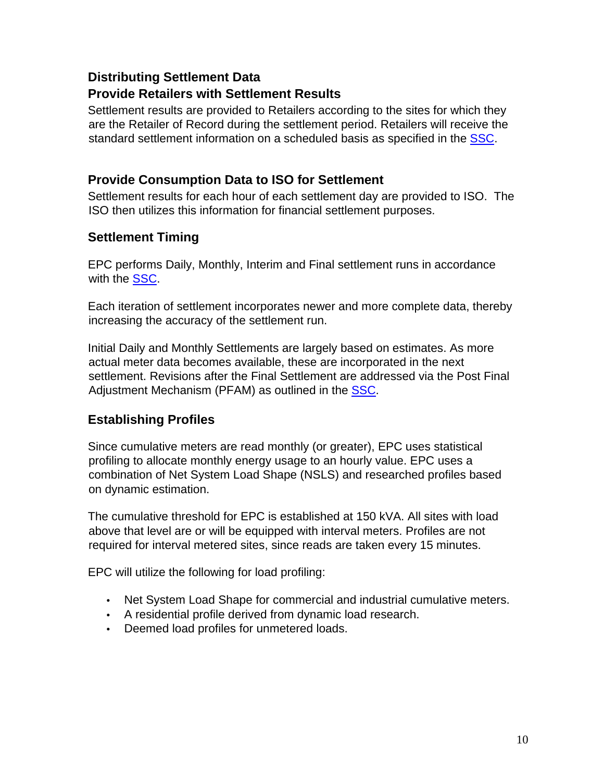### <span id="page-9-0"></span>**Distributing Settlement Data**

#### <span id="page-9-1"></span>**Provide Retailers with Settlement Results**

Settlement results are provided to Retailers according to the sites for which they are the Retailer of Record during the settlement period. Retailers will receive the standard settlement information on a scheduled basis as specified in the [SSC.](http://www.auc.ab.ca/acts-regulations-and-auc-rules/rules/Pages/Rule021.aspx) 

#### <span id="page-9-2"></span>**Provide Consumption Data to ISO for Settlement**

Settlement results for each hour of each settlement day are provided to ISO. The ISO then utilizes this information for financial settlement purposes.

### <span id="page-9-3"></span>**Settlement Timing**

EPC performs Daily, Monthly, Interim and Final settlement runs in accordance with the SSC.

Each iteration of settlement incorporates newer and more complete data, thereby increasing the accuracy of the settlement run.

Initial Daily and Monthly Settlements are largely based on estimates. As more actual meter data becomes available, these are incorporated in the next settlement. Revisions after the Final Settlement are addressed via the Post Final Adjustment Mechanism (PFAM) as outlined in the **SSC**.

# <span id="page-9-4"></span>**Establishing Profiles**

Since cumulative meters are read monthly (or greater), EPC uses statistical profiling to allocate monthly energy usage to an hourly value. EPC uses a combination of Net System Load Shape (NSLS) and researched profiles based on dynamic estimation.

The cumulative threshold for EPC is established at 150 kVA. All sites with load above that level are or will be equipped with interval meters. Profiles are not required for interval metered sites, since reads are taken every 15 minutes.

EPC will utilize the following for load profiling:

- Net System Load Shape for commercial and industrial cumulative meters.
- A residential profile derived from dynamic load research.
- Deemed load profiles for unmetered loads.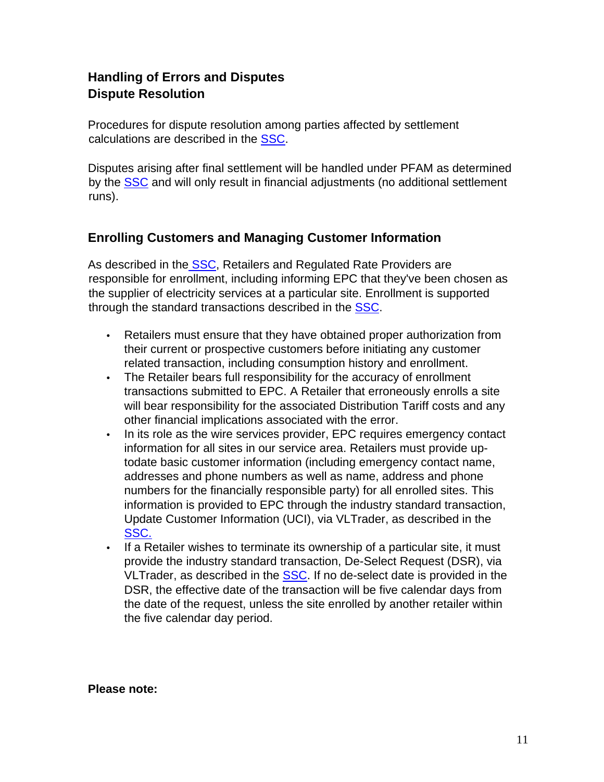# <span id="page-10-1"></span><span id="page-10-0"></span>**Handling of Errors and Disputes Dispute Resolution**

Procedures for dispute resolution among parties affected by settlement calculations are described in the [SSC.](http://www.auc.ab.ca/acts-regulations-and-auc-rules/rules/Pages/Rule021.aspx) 

Disputes arising after final settlement will be handled under PFAM as determined by the [SSC](http://www.auc.ab.ca/acts-regulations-and-auc-rules/rules/Pages/Rule021.aspx) and will only result in financial adjustments (no additional settlement runs).

### <span id="page-10-2"></span>**Enrolling Customers and Managing Customer Information**

As described in the **SSC**, Retailers and Regulated Rate Providers are responsible for enrollment, including informing EPC that they've been chosen as the supplier of electricity services at a particular site. Enrollment is supported through the standard transactions described in the [SSC.](http://www.auc.ab.ca/acts-regulations-and-auc-rules/rules/Pages/Rule021.aspx)

- Retailers must ensure that they have obtained proper authorization from their current or prospective customers before initiating any customer related transaction, including consumption history and enrollment.
- The Retailer bears full responsibility for the accuracy of enrollment transactions submitted to EPC. A Retailer that erroneously enrolls a site will bear responsibility for the associated Distribution Tariff costs and any other financial implications associated with the error.
- In its role as the wire services provider, EPC requires emergency contact information for all sites in our service area. Retailers must provide uptodate basic customer information (including emergency contact name, addresses and phone numbers as well as name, address and phone numbers for the financially responsible party) for all enrolled sites. This information is provided to EPC through the industry standard transaction, Update Customer Information (UCI), via VLTrader, as described in the [SSC.](http://www.auc.ab.ca/acts-regulations-and-auc-rules/rules/Pages/Rule021.aspx)
- If a Retailer wishes to terminate its ownership of a particular site, it must provide the industry standard transaction, De-Select Request (DSR), via VLTrader, as described in the [SSC.](http://www.auc.ab.ca/acts-regulations-and-auc-rules/rules/Pages/Rule021.aspx) If no de-select date is provided in the DSR, the effective date of the transaction will be five calendar days from the date of the request, unless the site enrolled by another retailer within the five calendar day period.

**Please note:**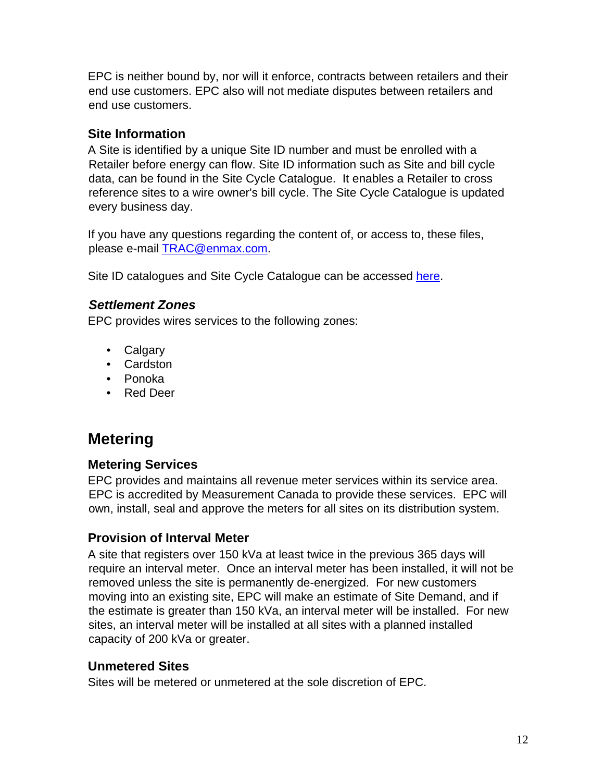EPC is neither bound by, nor will it enforce, contracts between retailers and their end use customers. EPC also will not mediate disputes between retailers and end use customers.

### <span id="page-11-0"></span>**Site Information**

A Site is identified by a unique Site ID number and must be enrolled with a Retailer before energy can flow. Site ID information such as Site and bill cycle data, can be found in the Site Cycle Catalogue. It enables a Retailer to cross reference sites to a wire owner's bill cycle. The Site Cycle Catalogue is updated every business day.

If you have any questions regarding the content of, or access to, these files, please e-mail **TRAC@enmax.com.** 

Site ID catalogues and Site Cycle Catalogue can be accessed [here.](https://www.enmax.com/business/energy-retailers/site-information)

### <span id="page-11-1"></span>*Settlement Zones*

EPC provides wires services to the following zones:

- Calgary
- Cardston
- Ponoka
- Red Deer

# <span id="page-11-2"></span>**Metering**

### <span id="page-11-3"></span>**Metering Services**

EPC provides and maintains all revenue meter services within its service area. EPC is accredited by Measurement Canada to provide these services. EPC will own, install, seal and approve the meters for all sites on its distribution system.

### <span id="page-11-4"></span>**Provision of Interval Meter**

A site that registers over 150 kVa at least twice in the previous 365 days will require an interval meter. Once an interval meter has been installed, it will not be removed unless the site is permanently de-energized. For new customers moving into an existing site, EPC will make an estimate of Site Demand, and if the estimate is greater than 150 kVa, an interval meter will be installed. For new sites, an interval meter will be installed at all sites with a planned installed capacity of 200 kVa or greater.

### <span id="page-11-5"></span>**Unmetered Sites**

Sites will be metered or unmetered at the sole discretion of EPC.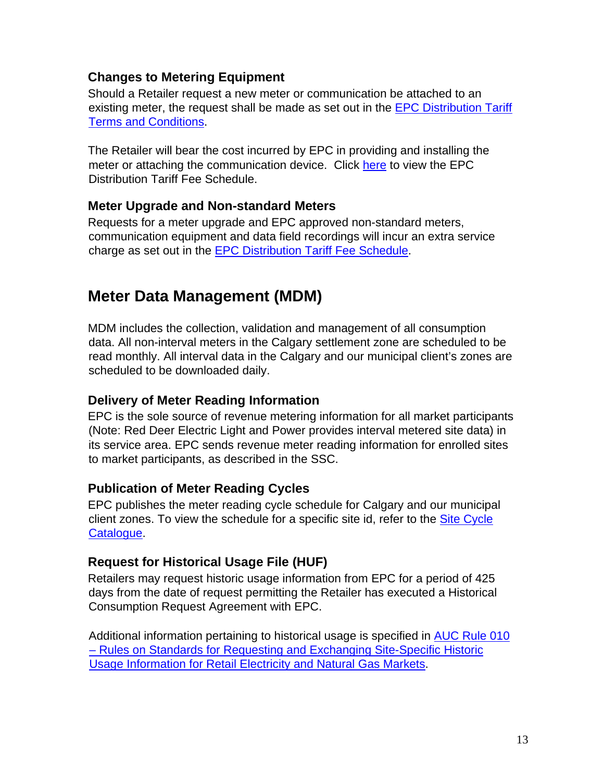### <span id="page-12-0"></span>**Changes to Metering Equipment**

Should a Retailer request a new meter or communication be attached to an existing meter, the request shall be made as set out in the [EPC Distribution Tariff](https://www.enmax.com/ForYourHomeSite/Documents/DT-TandCs-Jan-1-2015.pdf) [Terms and Conditions.](https://www.enmax.com/ForYourHomeSite/Documents/DT-TandCs-Jan-1-2015.pdf)

The Retailer will bear the cost incurred by EPC in providing and installing the meter or attaching the communication device. Click [here](https://www.enmax.com/ForYourHomeSite/Documents/Fee-Schedule-Jan-1-2015.pdf) to view the EPC Distribution Tariff Fee Schedule.

#### <span id="page-12-1"></span>**Meter Upgrade and Non-standard Meters**

Requests for a meter upgrade and EPC approved non-standard meters, communication equipment and data field recordings will incur an extra service charge as set out in the [EPC Distribution Tariff Fee Schedule.](https://www.enmax.com/ForYourHomeSite/Documents/Fee-Schedule-Jan-1-2015.pdf)

# <span id="page-12-2"></span>**Meter Data Management (MDM)**

MDM includes the collection, validation and management of all consumption data. All non-interval meters in the Calgary settlement zone are scheduled to be read monthly. All interval data in the Calgary and our municipal client's zones are scheduled to be downloaded daily.

#### <span id="page-12-3"></span>**Delivery of Meter Reading Information**

EPC is the sole source of revenue metering information for all market participants (Note: Red Deer Electric Light and Power provides interval metered site data) in its service area. EPC sends revenue meter reading information for enrolled sites to market participants, as described in the SSC.

#### <span id="page-12-4"></span>**Publication of Meter Reading Cycles**

EPC publishes the meter reading cycle schedule for Calgary and our municipal client zones. To view the schedule for a specific site id, refer to the [Site Cycle](https://www.enmax.com/business/energy-retailers/site-information) [Catalogue.](https://www.enmax.com/business/energy-retailers/site-information) 

### <span id="page-12-5"></span>**Request for Historical Usage File (HUF)**

Retailers may request historic usage information from EPC for a period of 425 days from the date of request permitting the Retailer has executed a Historical Consumption Request Agreement with EPC.

Additional information pertaining to historical usage is specified in [AUC Rule 010](http://www.auc.ab.ca/acts-regulations-and-auc-rules/rules/Pages/Rule010.aspx) – [Rules on Standards for Requesting and Exchanging Site-Specific Historic](http://www.auc.ab.ca/acts-regulations-and-auc-rules/rules/Pages/Rule010.aspx) [Usage Information for Retail Electricity and Natural Gas](http://www.auc.ab.ca/acts-regulations-and-auc-rules/rules/Pages/Rule010.aspx) Market[s.](http://www.auc.ab.ca/acts-regulations-and-auc-rules/rules/Pages/Rule010.aspx)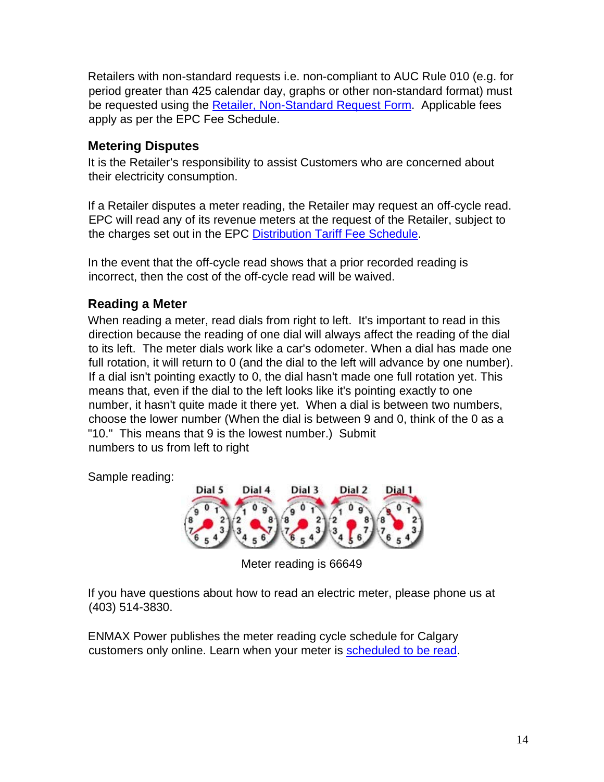Retailers with non-standard requests i.e. non-compliant to AUC Rule 010 (e.g. for period greater than 425 calendar day, graphs or other non-standard format) must be requested using the [Retailer, Non-Standard Request Form.](https://www.enmax.com/ForYourBusinessSite/Documents/10394.pdf) Applicable fees apply as per the EPC Fee Schedule.

### <span id="page-13-0"></span>**Metering Disputes**

It is the Retailer's responsibility to assist Customers who are concerned about their electricity consumption.

If a Retailer disputes a meter reading, the Retailer may request an off-cycle read. EPC will read any of its revenue meters at the request of the Retailer, subject to the charges set out in the EPC [Distribution Tariff Fee Schedule.](https://www.enmax.com/ForYourHomeSite/Documents/Fee-Schedule-Jan-1-2015.pdf)

In the event that the off-cycle read shows that a prior recorded reading is incorrect, then the cost of the off-cycle read will be waived.

### <span id="page-13-1"></span>**Reading a Meter**

When reading a meter, read dials from right to left. It's important to read in this direction because the reading of one dial will always affect the reading of the dial to its left. The meter dials work like a car's odometer. When a dial has made one full rotation, it will return to 0 (and the dial to the left will advance by one number). If a dial isn't pointing exactly to 0, the dial hasn't made one full rotation yet. This means that, even if the dial to the left looks like it's pointing exactly to one number, it hasn't quite made it there yet. When a dial is between two numbers, choose the lower number (When the dial is between 9 and 0, think of the 0 as a "10." This means that 9 is the lowest number.) Submit numbers to us from left to right

Sample reading:



Meter reading is 66649

If you have questions about how to read an electric meter, please phone us at (403) 514-3830.

ENMAX Power publishes the meter reading cycle schedule for Calgary customers only online. Learn when your meter is [scheduled to be read.](https://www.enmax.com/business/meter-services/meter-reading-schedule)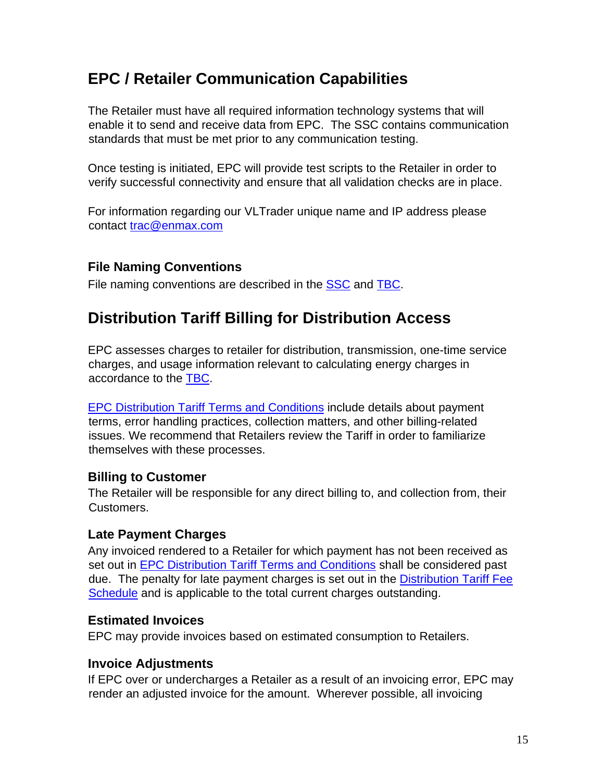# <span id="page-14-0"></span>**EPC / Retailer Communication Capabilities**

The Retailer must have all required information technology systems that will enable it to send and receive data from EPC. The SSC contains communication standards that must be met prior to any communication testing.

Once testing is initiated, EPC will provide test scripts to the Retailer in order to verify successful connectivity and ensure that all validation checks are in place.

For information regarding our VLTrader unique name and IP address please contact trac@enmax.com

### <span id="page-14-1"></span>**File Naming Conventions**

File naming conventions are described in the [SSC](http://www.auc.ab.ca/acts-regulations-and-auc-rules/rules/Pages/Rule021.aspx) and TBC.

# <span id="page-14-2"></span>**Distribution Tariff Billing for Distribution Access**

EPC assesses charges to retailer for distribution, transmission, one-time service charges, and usage information relevant to calculating energy charges in accordance to the [TBC.](http://www.auc.ab.ca/acts-regulations-and-auc-rules/rules/Pages/Rule004.aspx) 

[EPC Distribution Tariff Terms and Conditions](https://www.enmax.com/ForYourHomeSite/Documents/DT-TandCs-Jan-1-2015.pdf) include details about payment terms, error handling practices, collection matters, and other billing-related issues. We recommend that Retailers review the Tariff in order to familiarize themselves with these processes.

### <span id="page-14-3"></span>**Billing to Customer**

The Retailer will be responsible for any direct billing to, and collection from, their Customers.

### <span id="page-14-4"></span>**Late Payment Charges**

Any invoiced rendered to a Retailer for which payment has not been received as set out in [EPC Distribution Tariff Terms and Conditions](https://www.enmax.com/ForYourHomeSite/Documents/DT-TandCs-Jan-1-2015.pdf) [s](https://www.enmax.com/ForYourHomeSite/Documents/DT-TandCs-Jan-1-2015.pdf)hall be considered past due. The penalty for late payment charges is set out in the [Distribution Tariff Fee](https://www.enmax.com/ForYourHomeSite/Documents/Fee-Schedule-Jan-1-2015.pdf) [Schedule](https://www.enmax.com/ForYourHomeSite/Documents/Fee-Schedule-Jan-1-2015.pdf) [a](https://www.enmax.com/ForYourHomeSite/Documents/Fee-Schedule-Jan-1-2015.pdf)nd is applicable to the total current charges outstanding.

#### <span id="page-14-5"></span>**Estimated Invoices**

EPC may provide invoices based on estimated consumption to Retailers.

### <span id="page-14-6"></span>**Invoice Adjustments**

If EPC over or undercharges a Retailer as a result of an invoicing error, EPC may render an adjusted invoice for the amount. Wherever possible, all invoicing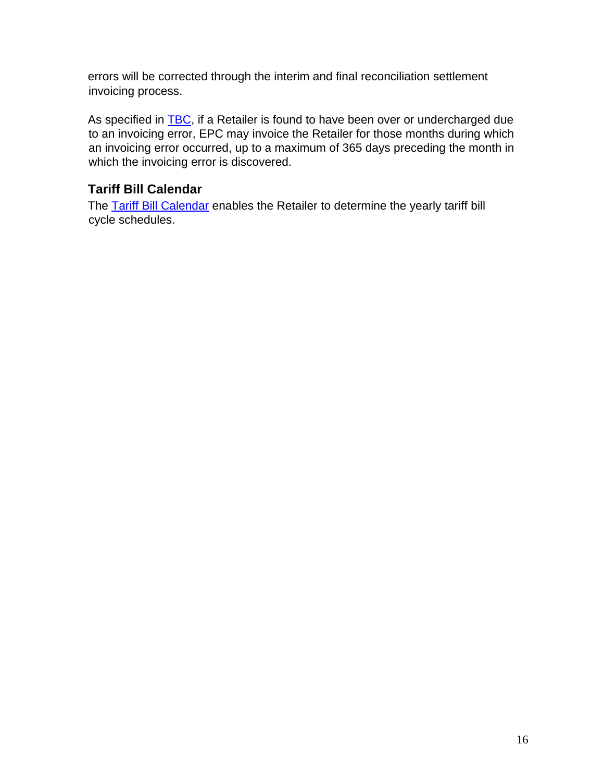errors will be corrected through the interim and final reconciliation settlement invoicing process.

As specified in [TBC,](http://www.auc.ab.ca/acts-regulations-and-auc-rules/rules/Pages/Rule004.aspx) if a Retailer is found to have been over or undercharged due to an invoicing error, EPC may invoice the Retailer for those months during which an invoicing error occurred, up to a maximum of 365 days preceding the month in which the invoicing error is discovered.

### <span id="page-15-0"></span>**Tariff Bill Calendar**

The [Tariff Bill Calendar](https://www.enmax.com/business/energy-retailers/tariff-bill-calendar) [e](https://www.enmax.com/business/energy-retailers/tariff-bill-calendar)nables the Retailer to determine the yearly tariff bill cycle schedules.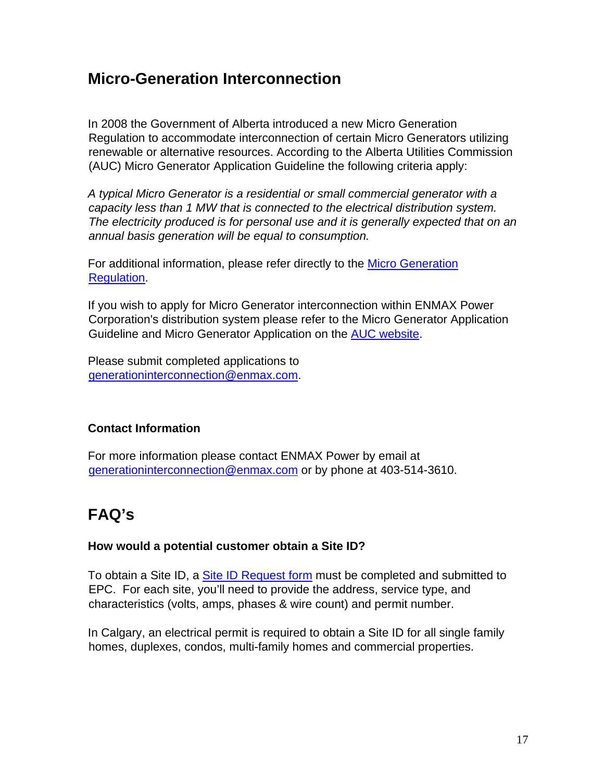# <span id="page-16-0"></span>**Micro-Generation Interconnection**

In 2008 the Government of Alberta introduced a new Micro Generation Regulation to accommodate interconnection of certain Micro Generators utilizing renewable or alternative resources. According to the Alberta Utilities Commission (AUC) Micro Generator Application Guideline the following criteria apply:

*A typical Micro Generator is a residential or small commercial generator with a capacity less than 1 MW that is connected to the electrical distribution system. The electricity produced is for personal use and it is generally expected that on an annual basis generation will be equal to consumption.* 

For additional information, please refer directly to the **Micro Generation** [Regulation.](http://www.auc.ab.ca/acts-regulations-and-auc-rules/rules/Pages/Rule024.aspx)

If you wish to apply for Micro Generator interconnection within ENMAX Power Corporation's distribution system please refer to the Micro Generator Application Guideline and Micro Generator Application on the AUC website.

Please submit completed applications to generationinterconnection@enmax.com.

### <span id="page-16-1"></span>**Contact Information**

For more information please contact ENMAX Power by email at generationinterconnection@enmax.com or by phone at 403-514-3610.

# <span id="page-16-2"></span>**FAQ's**

#### **How would a potential customer obtain a Site ID?**

To obtain a Site ID, a [Site ID Request form](https://www.enmax.com/home/electricity-and-natural-gas/home-improvement-considerations/get-a-site-id) must be completed and submitted to EPC. For each site, you'll need to provide the address, service type, and characteristics (volts, amps, phases & wire count) and permit number.

In Calgary, an electrical permit is required to obtain a Site ID for all single family homes, duplexes, condos, multi-family homes and commercial properties.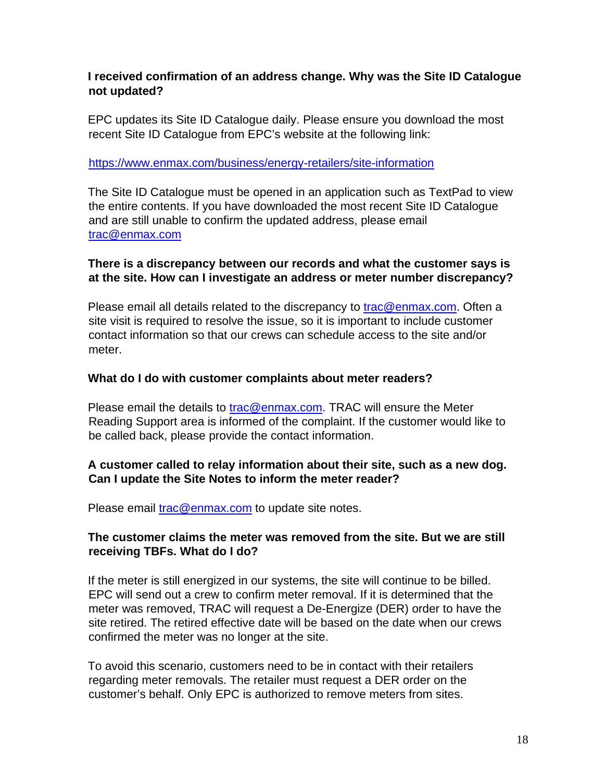#### **I received confirmation of an address change. Why was the Site ID Catalogue not updated?**

EPC updates its Site ID Catalogue daily. Please ensure you download the most recent Site ID Catalogue from EPC's website at the following link:

#### <https://www.enmax.com/business/energy-retailers/site-information>

The Site ID Catalogue must be opened in an application such as TextPad to view the entire contents. If you have downloaded the most recent Site ID Catalogue and are still unable to confirm the updated address, please email trac@enmax.com

#### **There is a discrepancy between our records and what the customer says is at the site. How can I investigate an address or meter number discrepancy?**

Please email all details related to the discrepancy to trac@enmax.com. Often a site visit is required to resolve the issue, so it is important to include customer contact information so that our crews can schedule access to the site and/or meter.

#### **What do I do with customer complaints about meter readers?**

Please email the details to trac@enmax.com. TRAC will ensure the Meter Reading Support area is informed of the complaint. If the customer would like to be called back, please provide the contact information.

#### **A customer called to relay information about their site, such as a new dog. Can I update the Site Notes to inform the meter reader?**

Please email trac@enmax.com to update site notes.

#### **The customer claims the meter was removed from the site. But we are still receiving TBFs. What do I do?**

If the meter is still energized in our systems, the site will continue to be billed. EPC will send out a crew to confirm meter removal. If it is determined that the meter was removed, TRAC will request a De-Energize (DER) order to have the site retired. The retired effective date will be based on the date when our crews confirmed the meter was no longer at the site.

To avoid this scenario, customers need to be in contact with their retailers regarding meter removals. The retailer must request a DER order on the customer's behalf. Only EPC is authorized to remove meters from sites.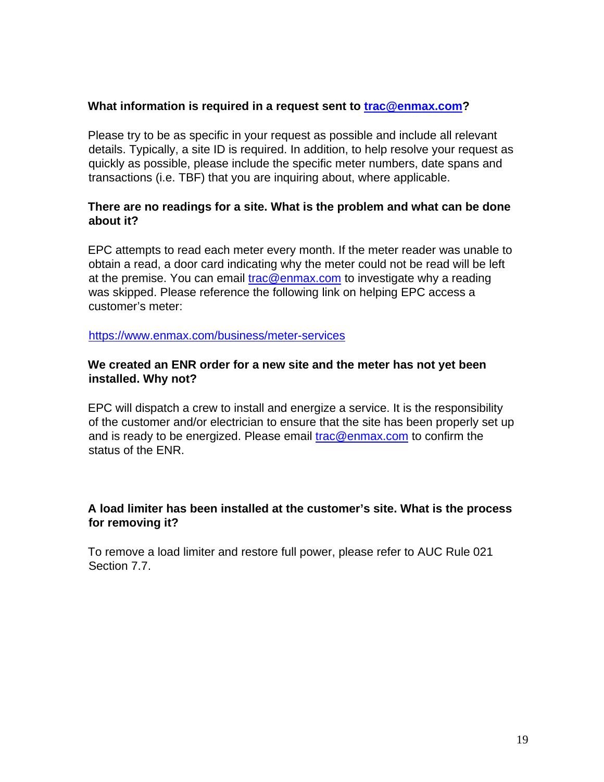#### **What information is required in a request sent to trac@enmax.com?**

Please try to be as specific in your request as possible and include all relevant details. Typically, a site ID is required. In addition, to help resolve your request as quickly as possible, please include the specific meter numbers, date spans and transactions (i.e. TBF) that you are inquiring about, where applicable.

#### **There are no readings for a site. What is the problem and what can be done about it?**

EPC attempts to read each meter every month. If the meter reader was unable to obtain a read, a door card indicating why the meter could not be read will be left at the premise. You can email trac@enmax.com to investigate why a reading was skipped. Please reference the following link on helping EPC access a customer's meter:

<https://www.enmax.com/business/meter-services>

#### **We created an ENR order for a new site and the meter has not yet been installed. Why not?**

EPC will dispatch a crew to install and energize a service. It is the responsibility of the customer and/or electrician to ensure that the site has been properly set up and is ready to be energized. Please email trac@enmax.com to confirm the status of the ENR.

#### **A load limiter has been installed at the customer's site. What is the process for removing it?**

To remove a load limiter and restore full power, please refer to AUC Rule 021 Section 7.7.